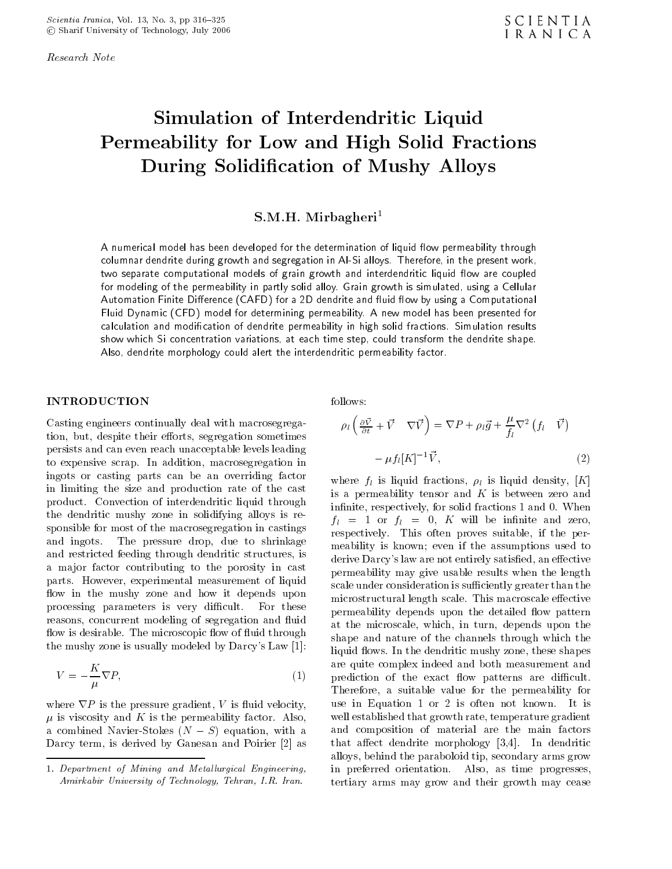Research Note

# Simulation of Interdendritic Liquid Permeability for Low and High Solid Fractions During Solidication of Mushy Alloys

# S.M.H. Mirbagheri<sup>-</sup>

A numerical model has been developed for the determination of liquid flow permeability through columnar dendrite during growth and segregation in Al-Si alloys. Therefore, in the present work, two separate computational models of grain growth and interdendritic liquid flow are coupled for modeling of the permeability in partly solid alloy. Grain growth is simulated, using a Cellular Automation Finite Difference (CAFD) for a 2D dendrite and fluid flow by using a Computational Fluid Dynamic (CFD) model for determining permeability. A new model has been presented for calculation and modication of dendrite permeability in high solid fractions. Simulation results show which Si concentration variations, at each time step, could transform the dendrite shape. Also, dendrite morphology could alert the interdendritic permeability factor.

#### INTRODUCTION

Casting engineers continually deal with macrosegregation, but, despite their efforts, segregation sometimes persists and can even reach unacceptable levels leading to expensive scrap. In addition, macrosegregation in ingots or casting parts can be an overriding factor in limiting the size and production rate of the cast product. Convection of interdendritic liquid through the dendritic mushy zone in solidifying alloys is responsible for most of the macrosegregation in castings and ingots. The pressure drop, due to shrinkage and restricted feeding through dendritic structures, is a major factor contributing to the porosity in cast parts. However, experimental measurement of liquid flow in the mushy zone and how it depends upon processing parameters is very difficult. For these reasons, concurrent modeling of segregation and fluid flow is desirable. The microscopic flow of fluid through the mushy zone is usually modeled by Darcy's Law [1]:

$$
V = \frac{K}{\mu} \nabla P, \tag{1}
$$

where  $\overline{V}$  is the pressure gradient,  $\overline{V}$  is factor. Also,  $\mu$  is viscosity and K is the permeability factor. Also, a combined Navier-Stokes  $(N - S)$  equation, with a Darcy term, is derived by Ganesan and Poirier [2] as

$$
\rho_l \left( \frac{\partial \vec{V}}{\partial t} + \vec{V} \quad \nabla \vec{V} \right) = \nabla P + \rho_l \vec{g} + \frac{\mu}{f_l} \nabla^2 \quad f_l \quad \vec{V} )
$$

$$
\mu f_l [K]^{-1} \vec{V}, \tag{2}
$$

where  $f_l$  is liquid fractions,  $\rho_l$  is liquid density, [K] is a permeability tensor and  $K$  is between zero and infinite, respectively, for solid fractions 1 and 0. When  $f_l = 1$  or  $f_l = 0$ , K will be infinite and zero, respectively. This often proves suitable, if the permeability is known; even if the assumptions used to derive Darcy's law are not entirely satisfied, an effective permeability may give usable results when the length scale under consideration is sufficiently greater than the microstructural length scale. This macroscale effective permeability depends upon the detailed flow pattern at the microscale, which, in turn, depends upon the shape and nature of the channels through which the liquid flows. In the dendritic mushy zone, these shapes are quite complex indeed and both measurement and prediction of the exact flow patterns are difficult. Therefore, <sup>a</sup> suitable value for the permeability for use in Equation <sup>1</sup> or <sup>2</sup> is often not known. It is well established that growth rate, temperature gradient and composition of material are the main factors that affect dendrite morphology  $[3,4]$ . In dendritic alloys, behind the paraboloid tip, secondary arms grow in preferred orientation. Also, as time progresses, tertiary arms may grow and their growth may cease

<sup>1.</sup> Department of Mining and Metallurgical Engineering, Amirkabir University of Technology, Tehran, I.R. Iran.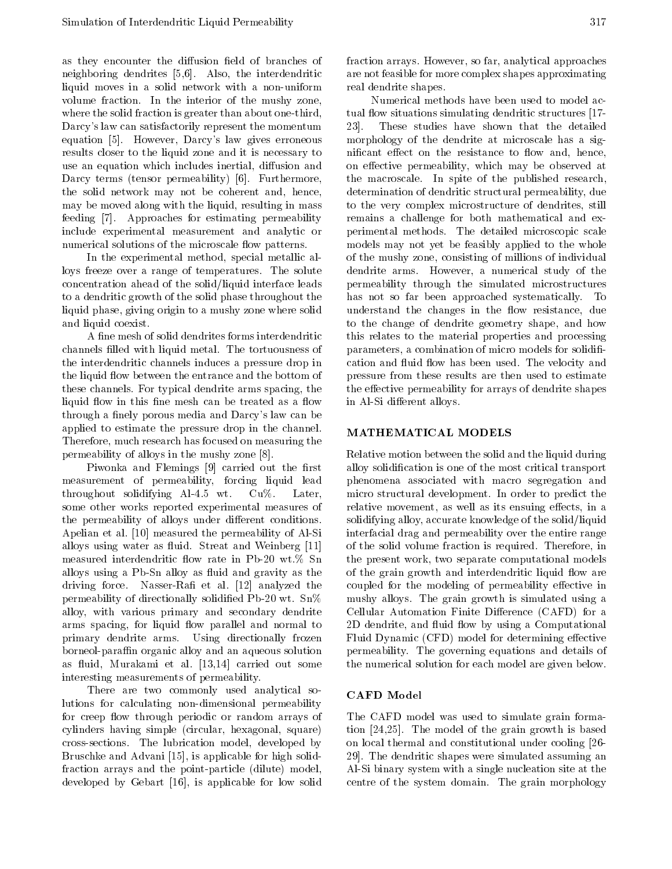as they encounter the diffusion field of branches of neighboring dendrites [5,6]. Also, the interdendritic liquid moves in <sup>a</sup> solid network with <sup>a</sup> non-uniform volume fraction. In the interior of the mushy zone, where the solid fraction is greater than about one-third, Darcy's law can satisfactorily represent the momentum 23. equation [5]. However, Darcy's law gives erroneous results closer to the liquid zone and it is necessary to use an equation which includes inertial, diffusion and Darcy terms (tensor permeability) [6]. Furthermore, the solid network may not be coherent and, hence, may be moved along with the liquid, resulting in mass feeding [7]. Approaches for estimating permeability include experimental measurement and analytic or numerical solutions of the microscale flow patterns.

In the experimental method, special metallic alloys freeze over <sup>a</sup> range of temperatures. The solute concentration ahead of the solid/liquid interface leads to a dendritic growth of the solid phase throughout the liquid phase, giving origin to a mushy zone where solid and liquid coexist.

A fine mesh of solid dendrites forms interdendritic channels filled with liquid metal. The tortuousness of the interdendritic channels induces a pressure drop in the liquid flow between the entrance and the bottom of these channels. For typical dendrite arms spacing, the liquid flow in this fine mesh can be treated as a flow through a finely porous media and Darcy's law can be applied to estimate the pressure drop in the channel. Therefore, much research has focused on measuring the permeability of alloys in the mushy zone [8].

Piwonka and Flemings [9] carried out the first measurement of permeability, forcing liquid lead throughout solidifying Al-4.5 wt. Cu%. Later, some other works reported experimental measures of the permeability of alloys under different conditions. Apelian et al. [10] measured the permeability of Al-Si alloys using water as fluid. Streat and Weinberg [11] measured interdendritic flow rate in Pb-20 wt.% Sn alloys using a Pb-Sn alloy as fluid and gravity as the driving force. Nasser-Rafi et al. [12] analyzed the permeability of directionally solidified Pb-20 wt.  $Sn\%$ alloy, with various primary and secondary dendrite arms spacing, for liquid flow parallel and normal to primary dendrite arms. Using directionally frozen borneol-paraffin organic alloy and an aqueous solution as fluid, Murakami et al. [13,14] carried out some interesting measurements of permeability.

There are two commonly used analytical solutions for calculating non-dimensional permeability for creep flow through periodic or random arrays of cylinders having simple (circular, hexagonal, square) cross-sections. The lubrication model, developed by Bruschke and Advani [15], is applicable for high solidfraction arrays and the point-particle (dilute) model, developed by Gebart [16], is applicable for low solid

fraction arrays. However, so far, analytical approaches are not feasible for more complex shapes approximating real dendrite shapes.

Numerical methods have been used to model actual flow situations simulating dendritic structures [17-These studies have shown that the detailed morphology of the dendrite at microscale has <sup>a</sup> significant effect on the resistance to flow and, hence, on effective permeability, which may be observed at the macroscale. In spite of the published research, determination of dendritic structural permeability, due to the very complex microstructure of dendrites, still remains <sup>a</sup> challenge for both mathematical and experimental methods. The detailed microscopic scale models may not yet be feasibly applied to the whole of the mushy zone, consisting of millions of individual dendrite arms. However, <sup>a</sup> numerical study of the permeability through the simulated microstructures has not so far been approached systematically. To understand the changes in the flow resistance, due to the change of dendrite geometry shape, and how this relates to the material properties and processing parameters, a combination of micro models for solidification and fluid flow has been used. The velocity and pressure from these results are then used to estimate the effective permeability for arrays of dendrite shapes in Al-Si different alloys.

### MATHEMATICAL MODELS

Relative motion between the solid and the liquid during alloy solidication is one of the most critical transport phenomena associated with macro segregation and micro structural development. In order to predict the relative movement, as well as its ensuing effects, in a solidifying alloy, accurate knowledge of the solid/liquid interfacial drag and permeability over the entire range of the solid volume fraction is required. Therefore, in the present work, two separate computational models of the grain growth and interdendritic liquid flow are coupled for the modeling of permeability effective in mushy alloys. The grain growth is simulated using <sup>a</sup> Cellular Automation Finite Difference (CAFD) for a 2D dendrite, and fluid flow by using a Computational Fluid Dynamic (CFD) model for determining effective permeability. The governing equations and details of the numerical solution for each model are given below.

### CAFD Model

The CAFD model was used to simulate grain formation [24,25]. The model of the grain growth is based on local thermal and constitutional under cooling [26- 29]. The dendritic shapes were simulated assuming an Al-Si binary system with a single nucleation site at the centre of the system domain. The grain morphology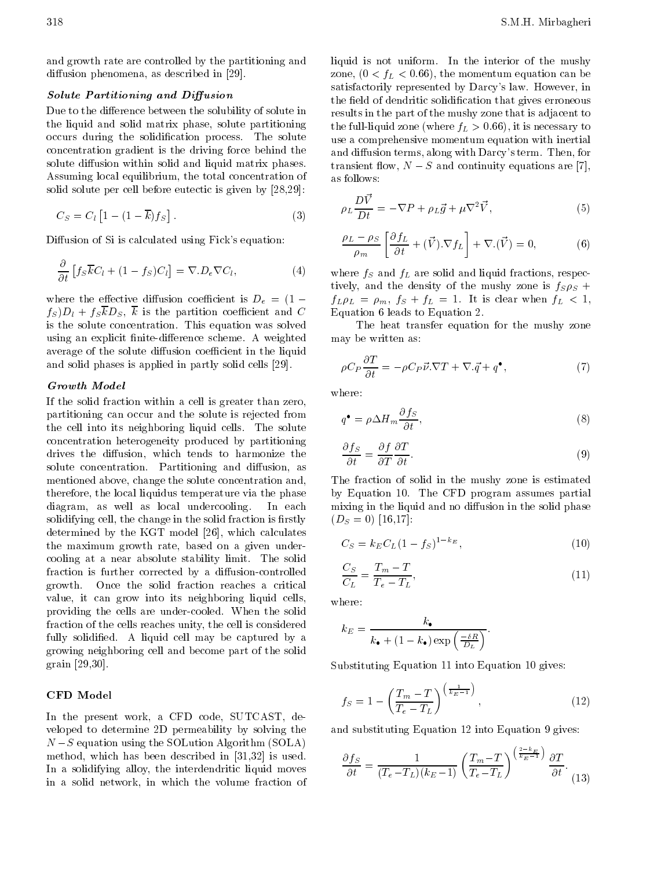and growth rate are controlled by the partitioning and diffusion phenomena, as described in [29].

#### Solute Partitioning and Diusion

Due to the difference between the solubility of solute in the liquid and solid matrix phase, solute partitioning occurs during the solidication process. The solute concentration gradient is the driving force behind the solute diffusion within solid and liquid matrix phases. Assuming local equilibrium, the total concentration of solid solute per cell before eutectic is given by [28,29]:

$$
C_S = C_l \begin{bmatrix} 1 & (1 & \overline{k}) f_S \end{bmatrix} . \tag{3}
$$

Diffusion of Si is calculated using Fick's equation:

$$
\frac{\partial}{\partial t} \left[ f_S \overline{k} C_l + (1 - f_S) C_l \right] = \nabla . D_e \nabla C_l, \tag{4}
$$

where the effective diffusion coefficient is  $D_e = (1$  $f_S D_l + f_S \overline{k} D_S$ ,  $\overline{k}$  is the partition coefficient and C is the solute concentration. This equation was solved using an explicit finite-difference scheme. A weighted average of the solute diffusion coefficient in the liquid and solid phases is applied in partly solid cells [29].

If the solid fraction within a cell is greater than zero, partitioning can occur and the solute is rejected from the cell into its neighboring liquid cells. The solute concentration heterogeneity produced by partitioning drives the diffusion, which tends to harmonize the solute concentration. Partitioning and diffusion, as mentioned above, change the solute concentration and, therefore, the local liquidus temperature via the phase diagram, as well as local undercooling. In each solidifying cell, the change in the solid fraction is firstly determined by the KGT model [26], which calculates the maximum growth rate, based on <sup>a</sup> given undercooling at <sup>a</sup> near absolute stability limit. The solid fraction is further corrected by a diffusion-controlled growth. Once the solid fraction reaches <sup>a</sup> critical value, it can grow into its neighboring liquid cells, providing the cells are under-cooled. When the solid fraction of the cells reaches unity, the cell is considered fully solidied. <sup>A</sup> liquid cell may be captured by <sup>a</sup> growing neighboring cell and become part of the solid grain [29,30].

#### CFD Model

In the present work, a CFD code, SUTCAST, developed to determine 2D permeability by solving the  $\sim$  . The SOLUTION algorithm (SOLUTION ALGORITHM (SOLUTION  $\sim$ method, which has been described in [31,32] is used. In <sup>a</sup> solidifying alloy, the interdendritic liquid moves in <sup>a</sup> solid network, in which the volume fraction of

liquid is not uniform. In the interior of the mushy zone,  $(0 < f_L < 0.66)$ , the momentum equation can be satisfactorily represented by Darcy's law. However, in the field of dendritic solidification that gives erroneous results in the part of the mushy zone that is adjacent to the full-liquid zone (where  $f_L > 0.66$ ), it is necessary to use a comprehensive momentum equation with inertial and diffusion terms, along with Darcy's term. Then, for transient flow,  $N$  S and continuity equations are [7], as follows:

$$
\rho_L \frac{DV}{Dt} = \nabla P + \rho_L \vec{g} + \mu \nabla^2 \vec{V},\tag{5}
$$

$$
\frac{\rho_L \rho_S}{\rho_m} \left[ \frac{\partial f_L}{\partial t} + (\vec{V}) \cdot \nabla f_L \right] + \nabla \cdot (\vec{V}) = 0, \tag{6}
$$

where  $f_S$  and  $f_L$  are solid and liquid fractions, respectively, and the density of the mushy zone is  $f_S \rho_S$  +  $f_L \rho_L = \rho_m$ ,  $f_S + f_L = 1$ . It is clear when  $f_L < 1$ , Equation 6 leads to Equation 2.

The heat transfer equation for the mushy zone may be written as:

$$
\rho C_P \frac{\partial T}{\partial t} = \rho C_P \vec{\nu} . \nabla T + \nabla . \vec{q} + q^{\bullet}, \qquad (7)
$$

where:

$$
q^{\bullet} = \rho \Delta H_m \frac{\partial f_S}{\partial t},\tag{8}
$$

$$
\frac{\partial f_S}{\partial t} = \frac{\partial f}{\partial T} \frac{\partial T}{\partial t}.
$$
\n(9)

The fraction of solid in the mushy zone is estimated by Equation 10. The CFD program assumes partial mixing in the liquid and no diffusion in the solid phase  $(D<sub>S</sub> = 0)$  [16,17]:

$$
C_S = k_E C_L (1 - f_S)^{1 - k_E},\tag{10}
$$

$$
\frac{C_S}{C_L} = \frac{T_m}{T_e} \frac{T}{T_L},\tag{11}
$$

where:

$$
k_E = \frac{k_{\bullet}}{k_{\bullet} + (1 - k_{\bullet}) \exp\left(\frac{\delta R}{D_L}\right)}.
$$

Substituting Equation 11 into Equation 10 gives:

$$
f_S = 1 \quad \left(\frac{T_m - T}{T_e - T_L}\right)^{\left(\frac{1}{k_E - 1}\right)},\tag{12}
$$

and substituting Equation 12 into Equation 9 gives:

$$
\frac{\partial f_S}{\partial t} = \frac{1}{(T_e - T_L)(k_E - 1)} \left(\frac{T_m - T}{T_e - T_L}\right)^{\left(\frac{2 - k_E}{k_E - 1}\right)} \frac{\partial T}{\partial t}.
$$
\n(13)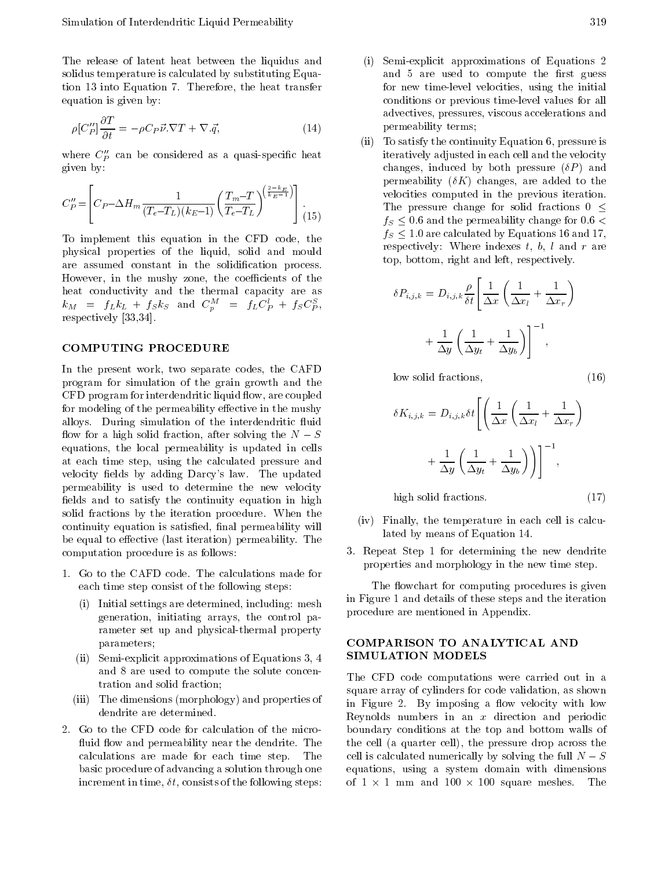The release of latent heat between the liquidus and solidus temperature is calculated by substituting Equation 13 into Equation 7. Therefore, the heat transfer equation is given by:

$$
\rho[C_P'']\frac{\partial T}{\partial t} = \rho C_P \vec{\nu}.\nabla T + \nabla.\vec{q},\tag{14}
$$

where  $C_p''$  can be considered as a quasi-specific heat given by:

$$
C_P'' = \left[ C_P \ \Delta H_m \frac{1}{(T_e \ T_L)(k_E \ 1)} \left( \frac{T_m \ T}{T_e \ T_L} \right)^{\left(\frac{2 \ k_E}{k_E \ T}} \right) \right] (15)
$$

To implement this equation in the CFD code, the physical properties of the liquid, solid and mould are assumed constant in the solidification process. However, in the mushy zone, the coefficients of the heat conductivity and the thermal capacity are as  $\kappa_M$  =  $f_L \kappa_L$  +  $f_S \kappa_S$  and  $C_p$  =  $f_L C_p$  +  $f_S C_p$ , respectively [33,34].

#### **COMPUTING PROCEDURE**

In the present work, two separate codes, the CAFD program for simulation of the grain growth and the CFD program for interdendritic liquid flow, are coupled for modeling of the permeability effective in the mushy alloys. During simulation of the interdendritic fluid flow for a high solid fraction, after solving the  $N-S$ equations, the local permeability is updated in cells at each time step, using the calculated pressure and velocity fields by adding Darcy's law. The updated permeability is used to determine the new velocity fields and to satisfy the continuity equation in high solid fractions by the iteration procedure. When the continuity equation is satisfied, final permeability will be equal to effective (last iteration) permeability. The computation procedure is as follows:

- 1. Go to the CAFD code. The calculations made for each time step consist of the following steps:
	- (i) Initial settings are determined, including: mesh generation, initiating arrays, the control parameter set up and physical-thermal property parameters;
	- (ii) Semi-explicit approximations of Equations 3, 4 and <sup>8</sup> are used to compute the solute concentration and solid fraction;
	- (iii) The dimensions (morphology) and properties of dendrite are determined.
- 2. Go to the CFD code for calculation of the micro fluid flow and permeability near the dendrite. The calculations are made for each time step. The basic procedure of advancing a solution through one increment in time,  $\delta t$ , consists of the following steps:
- Semi-explicit approximations of Equations 2 and 5 are used to compute the first guess for new time-level velocities, using the initial conditions or previous time-level values for all advectives, pressures, viscous accelerations and permeability terms;
- $(ii)$ To satisfy the continuity Equation 6, pressure is iteratively adjusted in each cell and the velocity changes, induced by both pressure  $(\delta P)$  and permeability  $(\delta K)$  changes, are added to the velocities computed in the previous iteration. The pressure change for solid fractions  $0 \leq$ 그는 어떻게 하는  $f_S \leq 0.6$  and the permeability change for 0.6 <  $f_S \leq 1.0$  are calculated by Equations 16 and 17, respectively: Where indexes t, b, l and r are top, bottom, right and left, respectively.

$$
\delta P_{i,j,k} = D_{i,j,k} \frac{\rho}{\delta t} \left[ \frac{1}{\Delta x} \left( \frac{1}{\Delta x_l} + \frac{1}{\Delta x_r} \right) + \frac{1}{\Delta y} \left( \frac{1}{\Delta y_t} + \frac{1}{\Delta y_b} \right) \right]^{-1},
$$

low solid fractions,  $(16)$ 

$$
\delta K_{i,j,k} = D_{i,j,k} \delta t \left[ \left( \frac{1}{\Delta x} \left( \frac{1}{\Delta x_l} + \frac{1}{\Delta x_r} \right) + \frac{1}{\Delta y} \left( \frac{1}{\Delta y_t} + \frac{1}{\Delta y_b} \right) \right) \right]^{-1},
$$

high solid fractions. (17)

- 
- (iv) Finally, the temperature in each cell is calculated by means of Equation 14.
- 3. Repeat Step <sup>1</sup> for determining the new dendrite properties and morphology in the new time step.

The flowchart for computing procedures is given in Figure 1 and details of these steps and the iteration procedure are mentioned in Appendix.

# COMPARISON TO ANALYTICAL AND SIMULATION MODELS

The CFD code computations were carried out in <sup>a</sup> square array of cylinders for code validation, as shown in Figure 2. By imposing a flow velocity with low Reynolds numbers in an  $x$  direction and periodic boundary conditions at the top and bottom walls of the cell (a quarter cell), the pressure drop across the cell is calculated numerically by solving the full  $N-S$ equations, using <sup>a</sup> system domain with dimensions of 1  $1$  mm and 100 square meshes. The 100 square meshes. The 100 square meshes. The 100 square meshes. The 10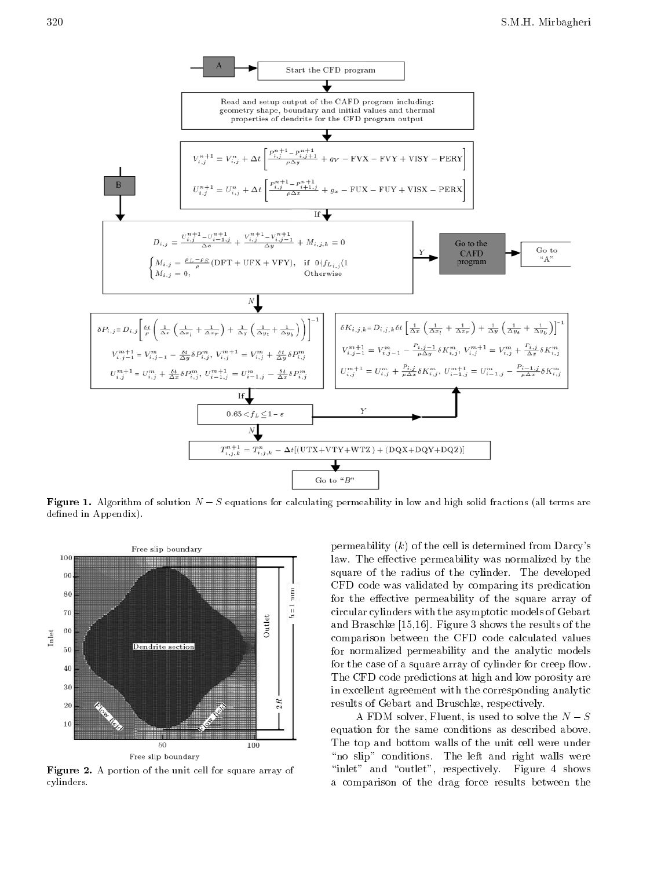

**Figure 1.** Algorithm of solution  $N$  S equations for calculating permeability in low and high solid fractions (all terms are defined in Appendix).



Figure 2. A portion of the unit cell for square array of cylinders.

permeability  $(k)$  of the cell is determined from Darcy's law. The effective permeability was normalized by the square of the radius of the cylinder. The developed CFD code was validated by comparing its predication for the effective permeability of the square array of circular cylinders with the asymptotic models of Gebart and Braschke [15,16]. Figure 3 shows the results of the comparison between the CFD code calculated values for normalized permeability and the analytic models for the case of a square array of cylinder for creep flow. The CFD code predictions at high and low porosity are in excellent agreement with the corresponding analytic results of Gebart and Bruschke, respectively.

A FDM solver, Fluent, is used to solve the  $N-S$ equation for the same conditions as described above. The top and bottom walls of the unit cell were under "no slip" conditions. The left and right walls were "inlet" and "outlet", respectively. Figure 4 shows <sup>a</sup> comparison of the drag force results between the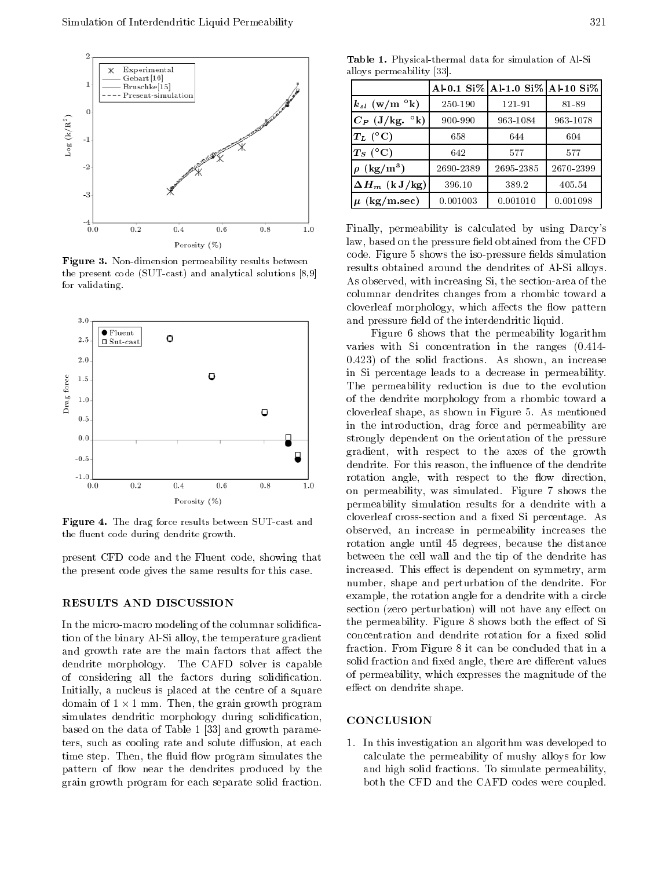

Figure 3. Non-dimension permeability results between the present code (SUT-cast) and analytical solutions [8,9] for validating.



Figure 4. The drag force results between SUT-cast and the fluent code during dendrite growth.

present CFD code and the Fluent code, showing that the present code gives the same results for this case.

# **RESULTS AND DISCUSSION**

In the micro-macro modeling of the columnar solidification of the binary Al-Si alloy, the temperature gradient and growth rate are the main factors that affect the dendrite morphology. The CAFD solver is capable of considering all the factors during solidication. Initially, a nucleus is placed at the centre of a square domain of 1 is 1 mm. Then, the grain growth program and the grain grain grain grain grain grain and the grain o -simulates dendritic morphology during solidication, based on the data of Table 1 [33] and growth parameters, such as cooling rate and solute diffusion, at each time step. Then, the fluid flow program simulates the pattern of flow near the dendrites produced by the grain growth program for each separate solid fraction.

Table 1. Physical-thermal data for simulation of Al-Si alloys permeability [33].

|                                      |           | Al-0.1 Si% Al-1.0 Si% Al-10 Si% |           |
|--------------------------------------|-----------|---------------------------------|-----------|
| $k_{sl}$ (w/m $\mathrm{^{\circ}k}$ ) | 250-190   | 121-91                          | 81-89     |
| $C_P$ (J/kg. $\mathrm{O}(k)$ )       | 900-990   | 963-1084                        | 963-1078  |
| $T_L$ (°C)                           | 658       | 644                             | 604       |
| $T_S$ (°C)                           | 642       | 577                             | 577       |
| $\rho$ (kg/m <sup>3</sup> )          | 2690-2389 | 2695-2385                       | 2670-2399 |
| $\Delta H_m$ (k J/kg)                | 396.10    | 389.2                           | 405.54    |
| $\mu$ (kg/m.sec)                     | 0.001003  | 0.001010                        | 0.001098  |

Finally, permeability is calculated by using Darcy's law, based on the pressure field obtained from the CFD code. Figure 5 shows the iso-pressure fields simulation results obtained around the dendrites of Al-Si alloys. As observed, with increasing Si, the section-area of the columnar dendrites changes from a rhombic toward a cloverleaf morphology, which affects the flow pattern and pressure field of the interdendritic liquid.

Figure <sup>6</sup> shows that the permeability logarithm varies with Si concentration in the ranges (0.414- 0.423) of the solid fractions. As shown, an increase in Si percentage leads to <sup>a</sup> decrease in permeability. The permeability reduction is due to the evolution of the dendrite morphology from <sup>a</sup> rhombic toward a cloverleaf shape, as shown in Figure 5. As mentioned in the introduction, drag force and permeability are strongly dependent on the orientation of the pressure gradient, with respect to the axes of the growth dendrite. For this reason, the influence of the dendrite rotation angle, with respect to the flow direction, on permeability, was simulated. Figure <sup>7</sup> shows the permeability simulation results for <sup>a</sup> dendrite with <sup>a</sup> cloverleaf cross-section and a fixed Si percentage. As observed, an increase in permeability increases the rotation angle until <sup>45</sup> degrees, because the distance between the cell wall and the tip of the dendrite has increased. This effect is dependent on symmetry, arm number, shape and perturbation of the dendrite. For example, the rotation angle for a dendrite with a circle section (zero perturbation) will not have any effect on the permeability. Figure 8 shows both the effect of Si concentration and dendrite rotation for a fixed solid fraction. From Figure 8 it can be concluded that in a solid fraction and fixed angle, there are different values of permeability, which expresses the magnitude of the effect on dendrite shape.

#### CONCLUSION

1. In this investigation an algorithm was developed to calculate the permeability of mushy alloys for low and high solid fractions. To simulate permeability, both the CFD and the CAFD codes were coupled.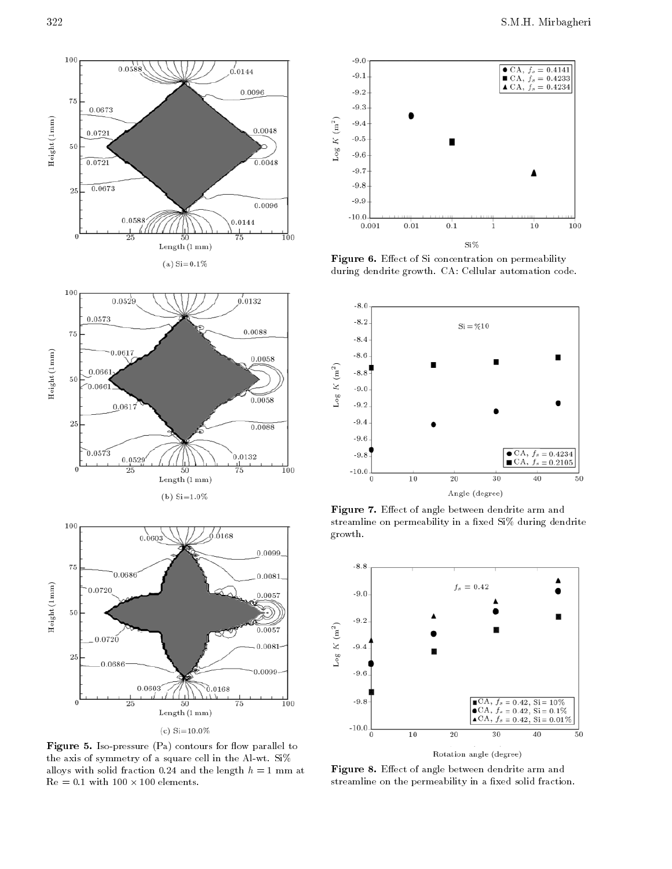

(c)  $Si=10.0\%$ 

Figure 5. Iso-pressure  $(Pa)$  contours for flow parallel to the axis of symmetry of a square cell in the Al-wt. Si% alloys with solid fraction 0.24 and the length  $h = 1$  mm at <u>- 100 elements.</u> In the 100 <del>elements.</del>



Figure 6. Effect of Si concentration on permeability during dendrite growth. CA: Cellular automation code.



Figure 7. Effect of angle between dendrite arm and streamline on permeability in a fixed Si% during dendrite growth.



Figure 8. Effect of angle between dendrite arm and streamline on the permeability in a fixed solid fraction.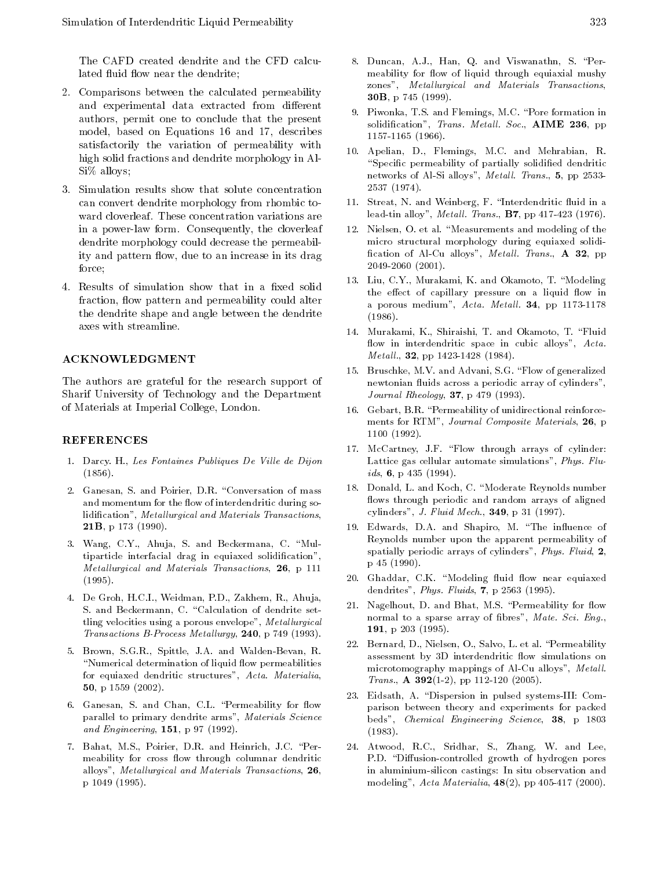The CAFD created dendrite and the CFD calculated fluid flow near the dendrite;

- 2. Comparisons between the calculated permeability and experimental data extracted from different authors, permit one to conclude that the present model, based on Equations <sup>16</sup> and 17, describes satisfactorily the variation of permeability with high solid fractions and dendrite morphology in Al-Si% alloys;
- 3. Simulation results show that solute concentration can convert dendrite morphology from rhombic toward cloverleaf. These concentration variations are in <sup>a</sup> power-law form. Consequently, the cloverleaf dendrite morphology could decrease the permeability and pattern flow, due to an increase in its drag force: forces and the control of the control of the control of the control of the control of the control of the control of the control of the control of the control of the control of the control of the control of the control of t
- 4. Results of simulation show that in a fixed solid fraction, flow pattern and permeability could alter the dendrite shape and angle between the dendrite axes with streamline.

#### **ACKNOWLEDGMENT**

The authors are grateful for the research support of Sharif University of Technology and the Department of Materials at Imperial College, London.

#### REFERENCES

- 1. Darcy. H., Les Fontaines Publiques De Ville de Dijon  $\lambda$  -  $\lambda$  -  $\lambda$  -  $\lambda$  -  $\lambda$
- 2. Ganesan, S. and Poirier, D.R. "Conversation of mass and momentum for the flow of interdendritic during solidification", Metallurgical and Materials Transactions, 21B, p 173 (1990).
- 3. Wang, C.Y., Ahuja, S. and Beckermana, C. "Multiparticle interfacial drag in equiaxed solidication", Metallurgical and Materials Transactions, 26, p 111 (1995).
- 4. De Groh, H.C.I., Weidman, P.D., Zakhem, R., Ahuja, S. and Beckermann, C. "Calculation of dendrite settling velocities using a porous envelope", Metallurgical Transactions B-Process Metallurgy,  $240$ , p  $749$  (1993).
- 5. Brown, S.G.R., Spittle, J.A. and Walden-Bevan, R. "Numerical determination of liquid flow permeabilities for equiaxed dendritic structures", Acta. Materialia, 50, p 1559 (2002).
- 6. Ganesan, S. and Chan, C.L. "Permeability for flow parallel to primary dendrite arms", Materials Science and Engineering, 151, p 97 (1992).
- 7. Bahat, M.S., Poirier, D.R. and Heinrich, J.C. \Permeability for cross flow through columnar dendritic alloys", Metallurgical and Materials Transactions, 26, p 1049 (1995).
- 8. Duncan, A.J., Han, Q. and Viswanathn, S. \Permeability for flow of liquid through equiaxial mushy zones", Metallurgical and Materials Transactions, 30B, p 745 (1999).
- 9. Piwonka, T.S. and Flemings, M.C. \Pore formation in solidification", Trans. Metall. Soc., AIME 236, pp 1157-1165 (1966).
- 10. Apelian, D., Flemings, M.C. and Mehrabian, R. "Specific permeability of partially solidified dendritic networks of Al-Si alloys", Metall. Trans., 5, pp 2533-<sup>2537</sup> (1974).
- 11. Streat, N. and Weinberg, F. "Interdendritic fluid in a lead-tin alloy", *Metall. Trans.*, **B7**, pp 417-423 (1976).
- 12. Nielsen, O. et al. \Measurements and modeling of the micro structural morphology during equiaxed solidi fication of Al-Cu alloys", Metall. Trans.,  $A$  32, pp 2049-2060 (2001).
- 13. Liu, C.Y., Murakami, K. and Okamoto, T. "Modeling the effect of capillary pressure on a liquid flow in a porous medium",  $Acta. Metal.$  34, pp 1173-1178 (1986).
- 14. Murakami, K., Shiraishi, T. and Okamoto, T. \Fluid flow in interdendritic space in cubic alloys", Acta.  $Metall., 32, pp 1423-1428 (1984).$
- 15. Bruschke, M.V. and Advani, S.G. \Flow of generalized newtonian fluids across a periodic array of cylinders", Journal Rheology, 37, p 479 (1993).
- 16. Gebart, B.R. "Permeability of unidirectional reinforcements for RTM", Journal Composite Materials, 26, p <sup>1100</sup> (1992).
- 17. McCartney, J.F. "Flow through arrays of cylinder: Lattice gas cellular automate simulations", Phys. Fluids,  $6$ , p 435 (1994).
- 18. Donald, L. and Koch, C. "Moderate Reynolds number flows through periodic and random arrays of aligned cylinders", J. Fluid Mech., 349, p 31 (1997).
- 19. Edwards, D.A. and Shapiro, M. "The influence of Reynolds number upon the apparent permeability of spatially periodic arrays of cylinders", Phys. Fluid, 2, <sup>p</sup> 45 (1990).
- 20. Ghaddar, C.K. "Modeling fluid flow near equiaxed dendrites", *Phys. Fluids*, 7, p 2563 (1995).
- 21. Nagelhout, D. and Bhat, M.S. "Permeability for flow normal to a sparse array of fibres", Mate. Sci. Eng., 191, p 203 (1995).
- 22. Bernard, D., Nielsen, O., Salvo, L. et al. \Permeability assessment by 3D interdendritic flow simulations on microtomography mappings of Al-Cu alloys", Metall. *Trans.*, **A 392**(1-2), pp 112-120 (2005).
- 23. Eidsath, A. "Dispersion in pulsed systems-III: Comparison between theory and experiments for packed beds", Chemical Engineering Science, 38, <sup>p</sup> <sup>1803</sup> (1983).
- 24. Atwood, R.C., Sridhar, S., Zhang, W. and Lee, P.D. "Diffusion-controlled growth of hydrogen pores in aluminium-silicon castings: In situ observation and modeling", Acta Materialia, 48(2), pp 405-417 (2000).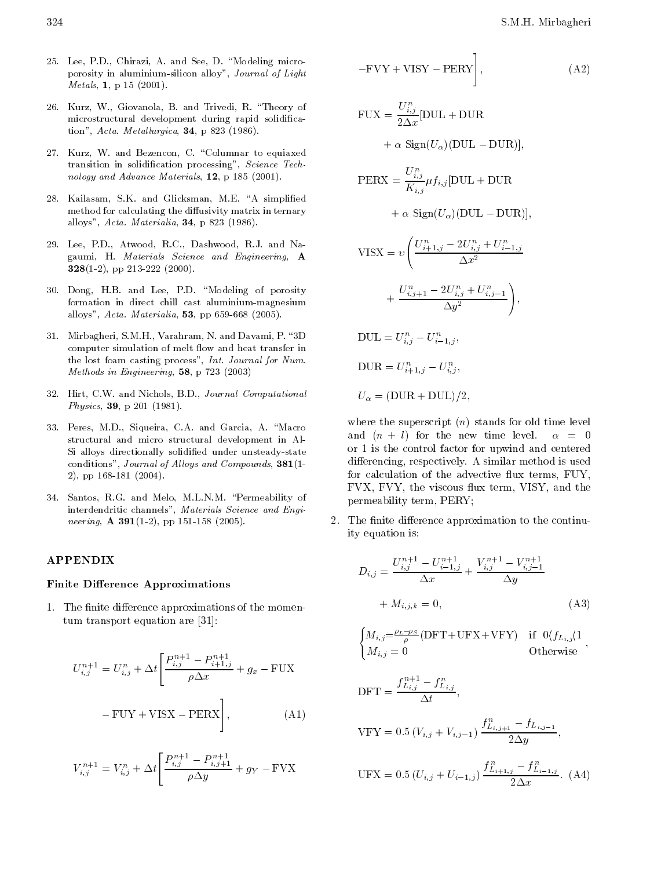- 25. Lee, P.D., Chirazi, A. and See, D. "Modeling microporosity in aluminium-silicon alloy", Journal of Light Metals, 1, p 15 (2001).
- 26. Kurz, W., Giovanola, B. and Trivedi, R. \Theory of microstructural development during rapid solidication", Acta. Metallurgica,  $34$ , p 823 (1986).
- 27. Kurz, W. and Bezencon, C. "Columnar to equiaxed transition in solidication processing", Science Technology and Advance Materials, 12, p 185 (2001).
- 28. Kailasam, S.K. and Glicksman, M.E. "A simplified method for calculating the diffusivity matrix in ternary alloys", Acta. Materialia, 34, p 823 (1986).
- 29. Lee, P.D., Atwood, R.C., Dashwood, R.J. and Nagaumi, H. Materials Science and Engineering, <sup>A</sup> 328(1-2), pp 213-222 (2000).
- 30. Dong, H.B. and Lee, P.D. "Modeling of porosity formation in direct chill cast aluminium-magnesium alloys", Acta. Materialia, 53, pp 659-668 (2005).
- 31. Mirbagheri, S.M.H., Varahram, N. and Davami, P. \3D computer simulation of melt flow and heat transfer in the lost foam casting process", Int. Journal for Num. Methods in Engineering, 58, p 723 (2003)
- 32. Hirt, C.W. and Nichols, B.D., Journal Computational Physics, 39, p 201 (1981).
- 33. Peres, M.D., Siqueira, C.A. and Garcia, A. \Macro structural and micro structural development in Al-Si alloys directionally solidied under unsteady-state conditions", Journal of Alloys and Compounds, 381(1-2), pp 168-181 (2004).
- 34. Santos, R.G. and Melo, M.L.N.M. \Permeability of interdendritic channels", Materials Science and Engi neering,  $\mathbf{A}$  391(1-2), pp 151-158 (2005).

## APPENDIX

#### Finite Difference Approximations

1. The finite difference approximations of the momentum transport equation are [31]:

$$
U_{i,j}^{n+1} = U_{i,j}^{n} + \Delta t \left[ \frac{P_{i,j}^{n+1} - P_{i+1,j}^{n+1}}{\rho \Delta x} + g_x \right]
$$
 FUX

$$
FUY + VISX \quad PERX \Bigg], \tag{A1}
$$

$$
V_{i,j}^{n+1} = V_{i,j}^{n} + \Delta t \left[ \frac{P_{i,j}^{n+1} - P_{i,j+1}^{n+1}}{\rho \Delta y} + g_Y \right] \text{FVX}
$$

FVY + VISY PERY 
$$
\Big]
$$
, (A2)  
\nFUX =  $\frac{U_{i,j}^n}{2\Delta x}$ [DUL + DUR  
\n+  $\alpha$  Sign $(U_{\alpha})(DUL - DUR)$ ],  
\nPERX =  $\frac{U_{i,j}^n}{K_{i,j}} \mu f_{i,j}$ [DUL + DUR  
\n+  $\alpha$  Sign $(U_{\alpha})(DUL - DUR)$ ],

$$
\begin{aligned} \text{VISX} &= v \Bigg( \frac{U_{i+1,j}^n - 2U_{i,j}^n + U_{i-1,j}^n}{\Delta x^2} \\ &+ \frac{U_{i,j+1}^n - 2U_{i,j}^n + U_{i,j-1}^n}{\Delta y^2} \Bigg), \\ \text{DUL} &= U_{i,j}^n - U_{i-1,j}^n, \\ \text{DUR} &= U_{i+1,j}^n - U_{i,j}^n, \end{aligned}
$$

$$
U_{\alpha} = (DUR + DUL)/2,
$$

where the superscript  $(n)$  stands for old time level and  $(n + l)$  for the new time level.  $\alpha = 0$ or <sup>1</sup> is the control factor for upwind and centered differencing, respectively. A similar method is used for calculation of the advective flux terms, FUY, FVX, FVY, the viscous flux term, VISY, and the permeability term, PERY;

The finite difference approximation to the continu- $2^{\circ}$ ity equation is:

$$
D_{i,j} = \frac{U_{i,j}^{n+1} - U_{i-1,j}^{n+1}}{\Delta x} + \frac{V_{i,j}^{n+1} - V_{i,j-1}^{n+1}}{\Delta y} + M_{i,j,k} = 0,
$$
\n(A3)

$$
\begin{cases} M_{i,j} = \frac{\rho_L - \rho_S}{\rho} (\mathrm{DFT} + \mathrm{UFX} + \mathrm{VFY}) & \text{if } 0 \langle f_{L_{i,j}} \rangle 1 \\ M_{i,j} = 0 & \text{Otherwise} \end{cases}
$$

$$
\begin{aligned} \text{DFT} &= \frac{f_{L_{i,j}}^{n+1} - f_{L_{i,j}}^n}{\Delta t}, \\ \text{VFY} &= 0.5 \left( V_{i,j} + V_{i,j-1} \right) \frac{f_{L_{i,j+1}}^n - f_{L_{i,j-1}}}{2\Delta y}, \\ \text{UFX} &= 0.5 \left( U_{i,j} + U_{i-1,j} \right) \frac{f_{L_{i+1,j}}^n - f_{L_{i-1,j}}^n}{2\Delta x}. \end{aligned} \tag{A4}
$$